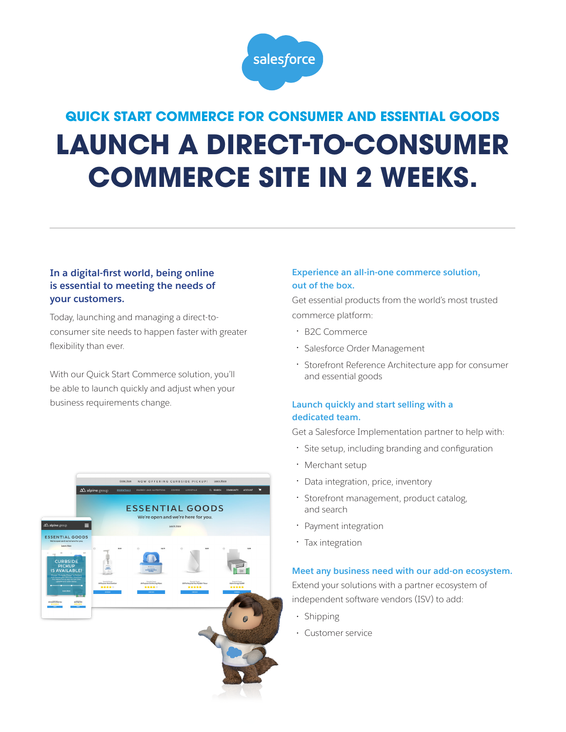

# **QUICK START COMMERCE FOR CONSUMER AND ESSENTIAL GOODS LAUNCH A DIRECT-TO-CONSUMER COMMERCE SITE IN 2 WEEKS.**

# **In a digital-first world, being online is essential to meeting the needs of your customers.**

Today, launching and managing a direct-toconsumer site needs to happen faster with greater flexibility than ever.

With our Quick Start Commerce solution, you'll be able to launch quickly and adjust when your business requirements change.



## **Experience an all-in-one commerce solution, out of the box.**

Get essential products from the world's most trusted commerce platform:

- B2C Commerce
- Salesforce Order Management
- Storefront Reference Architecture app for consumer and essential goods

# **Launch quickly and start selling with a dedicated team.**

Get a Salesforce Implementation partner to help with:

- Site setup, including branding and configuration
- Merchant setup
- Data integration, price, inventory
- Storefront management, product catalog, and search
- Payment integration
- Tax integration

#### **Meet any business need with our add-on ecosystem.**

Extend your solutions with a partner ecosystem of independent software vendors (ISV) to add:

- Shipping
- Customer service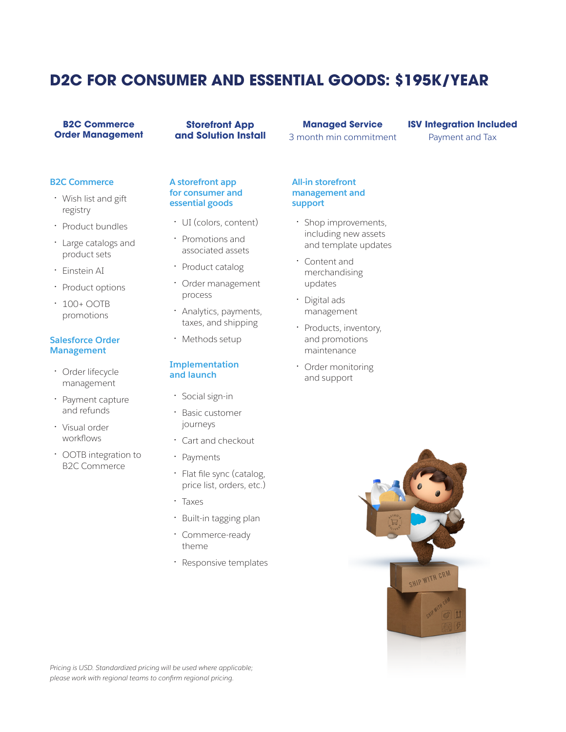# **D2C FOR CONSUMER AND ESSENTIAL GOODS: \$195K/YEAR**

#### **B2C Commerce Order Management**

**Storefront App and Solution Install** 

## **Managed Service** 3 month min commitment

### **ISV Integration Included** Payment and Tax

**B2C Commerce**

- Wish list and gift registry
- Product bundles
- Large catalogs and product sets
- Einstein AI
- Product options
- 100+ OOTB promotions

#### **Salesforce Order Management**

- Order lifecycle management
- Payment capture and refunds
- Visual order workflows
- OOTB integration to B2C Commerce

#### **A storefront app for consumer and essential goods**

- UI (colors, content)
- Promotions and associated assets
- Product catalog
- Order management process
- Analytics, payments, taxes, and shipping
- Methods setup

#### **Implementation and launch**

- Social sign-in
- Basic customer journeys
- Cart and checkout
- Payments
- Flat file sync (catalog, price list, orders, etc.)
- Taxes
- Built-in tagging plan
- Commerce-ready theme
- Responsive templates

**All-in storefront management and support** 

- Shop improvements, including new assets and template updates
- Content and merchandising updates
- Digital ads management
- Products, inventory, and promotions maintenance
- Order monitoring and support



*Pricing is USD. Standardized pricing will be used where applicable; please work with regional teams to confirm regional pricing.*